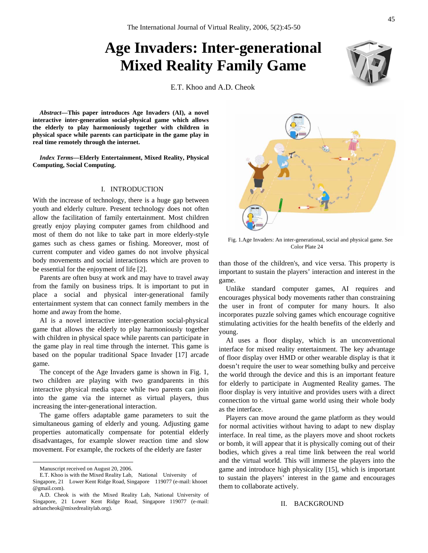# **Age Invaders: Inter-generational Mixed Reality Family Game**

E.T. Khoo and A.D. Cheok

*Abstract***—This paper introduces Age Invaders (AI), a novel interactive inter-generation social-physical game which allows the elderly to play harmoniously together with children in physical space while parents can participate in the game play in real time remotely through the internet.** 

*Index Terms***—Elderly Entertainment, Mixed Reality, Physical Computing, Social Computing.**

#### I. INTRODUCTION

With the increase of technology, there is a huge gap between youth and elderly culture. Present technology does not often allow the facilitation of family entertainment. Most children greatly enjoy playing computer games from childhood and most of them do not like to take part in more elderly-style games such as chess games or fishing. Moreover, most of current computer and video games do not involve physical body movements and social interactions which are proven to be essential for the enjoyment of life [2].

Parents are often busy at work and may have to travel away from the family on business trips. It is important to put in place a social and physical inter-generational family entertainment system that can connect family members in the home and away from the home.

AI is a novel interactive inter-generation social-physical game that allows the elderly to play harmoniously together with children in physical space while parents can participate in the game play in real time through the internet. This game is based on the popular traditional Space Invader [17] arcade game.

The concept of the Age Invaders game is shown in Fig. 1, two children are playing with two grandparents in this interactive physical media space while two parents can join into the game via the internet as virtual players, thus increasing the inter-generational interaction.

The game offers adaptable game parameters to suit the simultaneous gaming of elderly and young. Adjusting game properties automatically compensate for potential elderly disadvantages, for example slower reaction time and slow movement. For example, the rockets of the elderly are faster

Fig. 1.Age Invaders: An inter-generational, social and physical game. See Color Plate 24

than those of the children's, and vice versa. This property is important to sustain the players' interaction and interest in the game.

Unlike standard computer games, AI requires and encourages physical body movements rather than constraining the user in front of computer for many hours. It also incorporates puzzle solving games which encourage cognitive stimulating activities for the health benefits of the elderly and young.

AI uses a floor display, which is an unconventional interface for mixed reality entertainment. The key advantage of floor display over HMD or other wearable display is that it doesn't require the user to wear something bulky and perceive the world through the device and this is an important feature for elderly to participate in Augmented Reality games. The floor display is very intuitive and provides users with a direct connection to the virtual game world using their whole body as the interface.

Players can move around the game platform as they would for normal activities without having to adapt to new display interface. In real time, as the players move and shoot rockets or bomb, it will appear that it is physically coming out of their bodies, which gives a real time link between the real world and the virtual world. This will immerse the players into the game and introduce high physicality [15], which is important to sustain the players' interest in the game and encourages them to collaborate actively.

# II. BACKGROUND



Manuscript received on August 20, 2006.

E.T. Khoo is with the Mixed Reality Lab, National University of Singapore, 21 Lower Kent Ridge Road, Singapore 119077 (e-mail: khooet @gmail.com).

A.D. Cheok is with the Mixed Reality Lab, National University of Singapore, 21 Lower Kent Ridge Road, Singapore 119077 (e-mail: adriancheok@mixedrealitylab.org).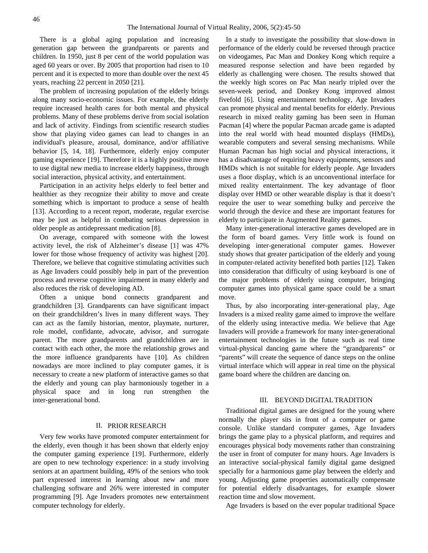There is a global aging population and increasing generation gap between the grandparents or parents and children. In 1950, just 8 per cent of the world population was aged 60 years or over. By 2005 that proportion had risen to 10 percent and it is expected to more than double over the next 45 years, reaching 22 percent in 2050 [21].

The problem of increasing population of the elderly brings along many socio-economic issues. For example, the elderly require increased health cares for both mental and physical problems. Many of these problems derive from social isolation and lack of activity. Findings from scientific research studies show that playing video games can lead to changes in an individual's pleasure, arousal, dominance, and/or affiliative behavior [5, 14, 18]. Furthermore, elderly enjoy computer gaming experience [19]. Therefore it is a highly positive move to use digital new media to increase elderly happiness, through social interaction, physical activity, and entertainment.

Participation in an activity helps elderly to feel better and healthier as they recognize their ability to move and create something which is important to produce a sense of health [13]. According to a recent report, moderate, regular exercise may be just as helpful in combating serious depression in older people as antidepressant medication [8].

On average, compared with someone with the lowest activity level, the risk of Alzheimer's disease [1] was 47% lower for those whose frequency of activity was highest [20]. Therefore, we believe that cognitive stimulating activities such as Age Invaders could possibly help in part of the prevention process and reverse cognitive impairment in many elderly and also reduces the risk of developing AD.

Often a unique bond connects grandparent and grandchildren [3]. Grandparents can have significant impact on their grandchildren's lives in many different ways. They can act as the family historian, mentor, playmate, nurturer, role model, confidante, advocate, advisor, and surrogate parent. The more grandparents and grandchildren are in contact with each other, the more the relationship grows and the more influence grandparents have [10]. As children nowadays are more inclined to play computer games, it is necessary to create a new platform of interactive games so that the elderly and young can play harmoniously together in a physical space and in long run strengthen the inter-generational bond.

# II. PRIOR RESEARCH

Very few works have promoted computer entertainment for the elderly, even though it has been shown that elderly enjoy the computer gaming experience [19]. Furthermore, elderly are open to new technology experience: in a study involving seniors at an apartment building, 49% of the seniors who took part expressed interest in learning about new and more challenging software and 26% were interested in computer programming [9]. Age Invaders promotes new entertainment computer technology for elderly.

In a study to investigate the possibility that slow-down in performance of the elderly could be reversed through practice on videogames, Pac Man and Donkey Kong which require a measured response selection and have been regarded by elderly as challenging were chosen. The results showed that the weekly high scores on Pac Man nearly tripled over the seven-week period, and Donkey Kong improved almost fivefold [6]. Using entertainment technology, Age Invaders can promote physical and mental benefits for elderly. Previous research in mixed reality gaming has been seen in Human Pacman [4] where the popular Pacman arcade game is adapted into the real world with head mounted displays (HMDs), wearable computers and several sensing mechanisms. While Human Pacman has high social and physical interactions, it has a disadvantage of requiring heavy equipments, sensors and HMDs which is not suitable for elderly people. Age Invaders uses a floor display, which is an unconventional interface for mixed reality entertainment. The key advantage of floor display over HMD or other wearable display is that it doesn't require the user to wear something bulky and perceive the world through the device and these are important features for elderly to participate in Augmented Reality games.

Many inter-generational interactive games developed are in the form of board games. Very little work is found on developing inter-generational computer games. However study shows that greater participation of the elderly and young in computer-related activity benefited both parties [12]. Taken into consideration that difficulty of using keyboard is one of the major problems of elderly using computer, bringing computer games into physical game space could be a smart move.

Thus, by also incorporating inter-generational play, Age Invaders is a mixed reality game aimed to improve the welfare of the elderly using interactive media. We believe that Age Invaders will provide a framework for many inter-generational entertainment technologies in the future such as real time virtual-physical dancing game where the "grandparents" or "parents" will create the sequence of dance steps on the online virtual interface which will appear in real time on the physical game board where the children are dancing on.

# III. BEYOND DIGITALTRADITION

Traditional digital games are designed for the young where normally the player sits in front of a computer or game console. Unlike standard computer games, Age Invaders brings the game play to a physical platform, and requires and encourages physical body movements rather than constraining the user in front of computer for many hours. Age Invaders is an interactive social-physical family digital game designed specially for a harmonious game play between the elderly and young. Adjusting game properties automatically compensate for potential elderly disadvantages, for example slower reaction time and slow movement.

Age Invaders is based on the ever popular traditional Space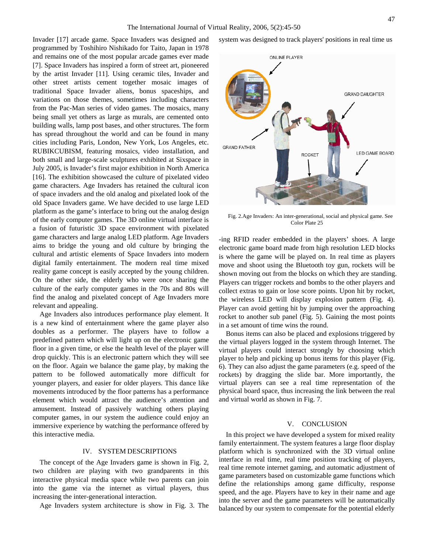Invader [17] arcade game. Space Invaders was designed and programmed by Toshihiro Nishikado for Taito, Japan in 1978 and remains one of the most popular arcade games ever made [7]. Space Invaders has inspired a form of street art, pioneered by the artist Invader [11]. Using ceramic tiles, Invader and other street artists cement together mosaic images of traditional Space Invader aliens, bonus spaceships, and variations on those themes, sometimes including characters from the Pac-Man series of video games. The mosaics, many being small yet others as large as murals, are cemented onto building walls, lamp post bases, and other structures. The form has spread throughout the world and can be found in many cities including Paris, London, New York, Los Angeles, etc. RUBIKCUBISM, featuring mosaics, video installation, and both small and large-scale sculptures exhibited at Sixspace in July 2005, is Invader's first major exhibition in North America [16]. The exhibition showcased the culture of pixelated video game characters. Age Invaders has retained the cultural icon of space invaders and the old analog and pixelated look of the old Space Invaders game. We have decided to use large LED platform as the game's interface to bring out the analog design of the early computer games. The 3D online virtual interface is a fusion of futuristic 3D space environment with pixelated game characters and large analog LED platform. Age Invaders aims to bridge the young and old culture by bringing the cultural and artistic elements of Space Invaders into modern digital family entertainment. The modern real time mixed reality game concept is easily accepted by the young children. On the other side, the elderly who were once sharing the culture of the early computer games in the 70s and 80s will find the analog and pixelated concept of Age Invaders more relevant and appealing.

Age Invaders also introduces performance play element. It is a new kind of entertainment where the game player also doubles as a performer. The players have to follow a predefined pattern which will light up on the electronic game floor in a given time, or else the health level of the player will drop quickly. This is an electronic pattern which they will see on the floor. Again we balance the game play, by making the pattern to be followed automatically more difficult for younger players, and easier for older players. This dance like movements introduced by the floor patterns has a performance element which would attract the audience's attention and amusement. Instead of passively watching others playing computer games, in our system the audience could enjoy an immersive experience by watching the performance offered by this interactive media.

# IV. SYSTEM DESCRIPTIONS

The concept of the Age Invaders game is shown in Fig. 2, two children are playing with two grandparents in this interactive physical media space while two parents can join into the game via the internet as virtual players, thus increasing the inter-generational interaction.

Age Invaders system architecture is show in Fig. 3. The

system was designed to track players' positions in real time us



Fig. 2.Age Invaders: An inter-generational, social and physical game. See Color Plate 25

-ing RFID reader embedded in the players' shoes. A large electronic game board made from high resolution LED blocks is where the game will be played on. In real time as players move and shoot using the Bluetooth toy gun, rockets will be shown moving out from the blocks on which they are standing. Players can trigger rockets and bombs to the other players and collect extras to gain or lose score points. Upon hit by rocket, the wireless LED will display explosion pattern (Fig. 4). Player can avoid getting hit by jumping over the approaching rocket to another sub panel (Fig. 5). Gaining the most points in a set amount of time wins the round.

Bonus items can also be placed and explosions triggered by the virtual players logged in the system through Internet. The virtual players could interact strongly by choosing which player to help and picking up bonus items for this player (Fig. 6). They can also adjust the game parameters (e.g. speed of the rockets) by dragging the slide bar. More importantly, the virtual players can see a real time representation of the physical board space, thus increasing the link between the real and virtual world as shown in Fig. 7.

#### V. CONCLUSION

In this project we have developed a system for mixed reality family entertainment. The system features a large floor display platform which is synchronized with the 3D virtual online interface in real time, real time position tracking of players, real time remote internet gaming, and automatic adjustment of game parameters based on customizable game functions which define the relationships among game difficulty, response speed, and the age. Players have to key in their name and age into the server and the game parameters will be automatically balanced by our system to compensate for the potential elderly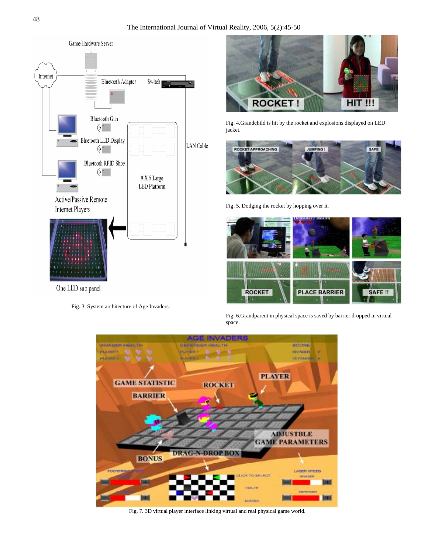

Fig. 3. System architecture of Age Invaders.

The International Journal of Virtual Reality, 2006, 5(2):45-50



Fig. 4.Grandchild is hit by the rocket and explosions displayed on LED jacket.



Fig. 5. Dodging the rocket by hopping over it.



Fig. 6.Grandparent in physical space is saved by barrier dropped in virtual space.



Fig. 7. 3D virtual player interface linking virtual and real physical game world.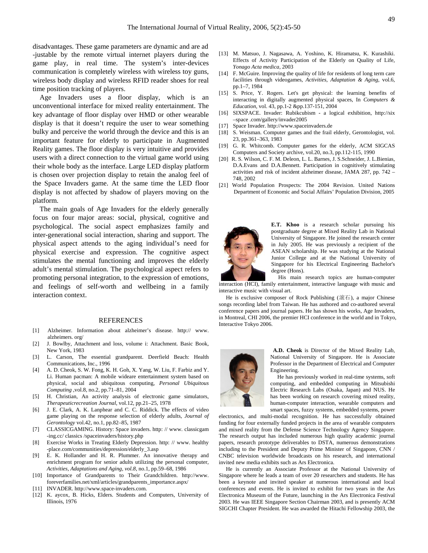disadvantages. These game parameters are dynamic and are ad -justable by the remote virtual internet players during the game play, in real time. The system's inter-devices communication is completely wireless with wireless toy guns, wireless body display and wireless RFID reader shoes for real time position tracking of players.

Age Invaders uses a floor display, which is an unconventional interface for mixed reality entertainment. The key advantage of floor display over HMD or other wearable display is that it doesn't require the user to wear something bulky and perceive the world through the device and this is an important feature for elderly to participate in Augmented Reality games. The floor display is very intuitive and provides users with a direct connection to the virtual game world using their whole body as the interface. Large LED display platform is chosen over projection display to retain the analog feel of the Space Invaders game. At the same time the LED floor display is not affected by shadow of players moving on the platform.

The main goals of Age Invaders for the elderly generally focus on four major areas: social, physical, cognitive and psychological. The social aspect emphasizes family and inter-generational social interaction, sharing and support. The physical aspect attends to the aging individual's need for physical exercise and expression. The cognitive aspect stimulates the mental functioning and improves the elderly adult's mental stimulation. The psychological aspect refers to promoting personal integration, to the expression of emotions, and feelings of self-worth and wellbeing in a family interaction context.

#### REFERENCES

- [1] Alzheimer. Information about alzheimer's disease. http:// www. alzheimers. org/
- [2] J. Bowlby, Attachment and loss, volume i: Attachment. Basic Book, New York, 1983
- [3] L. Carson, The essential grandparent. Deerfield Beach: Health Communications, Inc., 1996
- [4] A. D. Cheok, S. W. Fong, K. H. Goh, X. Yang, W. Liu, F. Farbiz and Y. Li. Human pacman: A mobile wideare entertainment system based on physical, social and ubiquitous computing, *Personal Ubiquitous Computing* ,vol.8, no.2, pp.71–81, 2004
- [5] H. Christian, An activity analysis of electronic game simulators, *Therapeuticrecreation Journal*, vol.12, pp.21–25, 1978
- [6] J. E. Clark, A. K. Lanphear and C. C. Riddick. The effects of video game playing on the response selection of elderly adults, *Journal of Gerontology* vol.42, no.1, pp.82–85, 1987
- [7] CLASSICGAMING. History: Space invaders. http: // www. classicgam -ing.cc/ classics /spaceinvaders/history.php
- [8] Exercise Works in Treating Elderly Depression. http: // www. healthy -place.com/communities/depression/elderly\_3.asp
- [9] E. K. Hollander and H. R. Plummer. An innovative therapy and enrichment program for senior adults utilizing the personal computer, *Activities, Adaptations and Aging, vol.8*, no.1, pp.59–68, 1986
- [10] Importance of Grandparents to Their Grandchildren. http://www. foreverfamilies.net/xml/articles/grandparents\_importance.aspx/
- [11] INVADER. http://www.space-invaders.com.
- [12] K. aycox, B. Hicks, Elders. Students and Computers, University of Illinois, 1976
- [13] M. Matsuo, J. Nagasawa, A. Yoshino, K. Hiramatsu, K. Kurashiki. Effects of Activity Participation of the Elderly on Quality of Life, *Yonago Acta medica,* 2003
- [14] F. McGuire. Improving the quality of life for residents of long term care facilities through videogames, *Activities, Adaptation & Aging*, vol.6, pp.1–7, 1984
- [15] S. Price, Y. Rogers. Let's get physical: the learning benefits of interacting in digitally augmented physical spaces, In *Computers & Education*, vol. 43, pp.1-2 &pp.137-151, 2004
- [16] SIXSPACE. Invader: Rubikcubism a logical exhibition, http://six –space .com/gallery/invader2005
- [17] Space Invader. http://www.spaceinvaders.de
- [18] S. Weisman. Computer games and the frail elderly, Gerontologist, vol. 23, pp.361–363, 1983
- [19] G. R. Whitcomb. Computer games for the elderly, ACM SIGCAS Computers and Society archive, vol.20, no.3, pp.112-115, 1990
- [20] R. S. Wilson, C. F. M. Deleon, L. L. Barnes, J. S.Schneider, J. L.Bienias, D.A.Evans and D.A.Bennett. Participation in cognitively stimulating activities and risk of incident alzheimer disease, JAMA 287, pp. 742 – 748, 2002
- [21] World Population Prospects: The 2004 Revision. United Nations Department of Economic and Social Affairs' Population Division, 2005



**E.T. Khoo** is a research scholar pursuing his postgraduate degree at Mixed Reality Lab in National University of Singapore. He joined the research center in July 2005. He was previously a recipient of the ASEAN scholarship. He was studying at the National Junior College and at the National University of Singapore for his Electrical Engineering Bachelor's degree (Hons).

His main research topics are human-computer interaction (HCI), family entertainment, interactive language with music and interactive music with visual art.

He is exclusive composer of Rock Publishing (滚石), a major Chinese songs recording label from Taiwan. He has authored and co-authored several conference papers and journal papers. He has shown his works, Age Invaders, in Montreal, CHI 2006, the premier HCI conference in the world and in Tokyo, Interactive Tokyo 2006.



 **A.D. Cheok** is Director of the Mixed Reality Lab, National University of Singapore. He is Associate Professor in the Department of Electrical and Computer Engineering.

He has previously worked in real-time systems, soft computing, and embedded computing in Mitsubishi Electric Research Labs (Osaka, Japan) and NUS. He has been working on research covering mixed reality, human-computer interaction, wearable computers and smart spaces, fuzzy systems, embedded systems, power

electronics, and multi-modal recognition. He has successfully obtained funding for four externally funded projects in the area of wearable computers and mixed reality from the Defense Science Technology Agency Singapore. The research output has included numerous high quality academic journal papers, research prototype deliverables to DSTA, numerous demonstrations including to the President and Deputy Prime Minister of Singapore, CNN / CNBC television worldwide broadcasts on his research, and international invited new media exhibits such as Ars Electronica.

He is currently an Associate Professor at the National University of Singapore where he leads a team of over 20 researchers and students. He has been a keynote and invited speaker at numerous international and local conferences and events. He is invited to exhibit for two years in the Ars Electronica Museum of the Future, launching in the Ars Electronica Festival 2003. He was IEEE Singapore Section Chairman 2003, and is presently ACM SIGCHI Chapter President. He was awarded the Hitachi Fellowship 2003, the